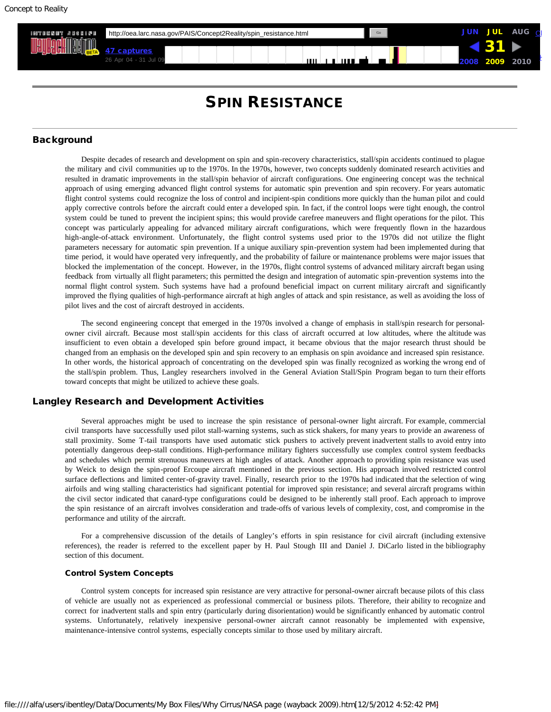# SPIN RESISTANCE

# Background

Despite decades of research and development on spin and spin-recovery characteristics, stall/spin accidents continued to plague the military and civil communities up to the 1970s. In the 1970s, however, two concepts suddenly dominated research activities and resulted in dramatic improvements in the stall/spin behavior of aircraft configurations. One engineering concept was the technical approach of using emerging advanced flight control systems for automatic spin prevention and spin recovery. For years automatic flight control systems could recognize the loss of control and incipient-spin conditions more quickly than the human pilot and could apply corrective controls before the aircraft could enter a developed spin. In fact, if the control loops were tight enough, the control system could be tuned to prevent the incipient spins; this would provide carefree maneuvers and flight operations for the pilot. This concept was particularly appealing for advanced military aircraft configurations, which were frequently flown in the hazardous high-angle-of-attack environment. Unfortunately, the flight control systems used prior to the 1970s did not utilize the flight parameters necessary for automatic spin prevention. If a unique auxiliary spin-prevention system had been implemented during that time period, it would have operated very infrequently, and the probability of failure or maintenance problems were major issues that blocked the implementation of the concept. However, in the 1970s, flight control systems of advanced military aircraft began using feedback from virtually all flight parameters; this permitted the design and integration of automatic spin-prevention systems into the normal flight control system. Such systems have had a profound beneficial impact on current military aircraft and significantly improved the flying qualities of high-performance aircraft at high angles of attack and spin resistance, as well as avoiding the loss of pilot lives and the cost of aircraft destroyed in accidents.

The second engineering concept that emerged in the 1970s involved a change of emphasis in stall/spin research for personalowner civil aircraft. Because most stall/spin accidents for this class of aircraft occurred at low altitudes, where the altitude was insufficient to even obtain a developed spin before ground impact, it became obvious that the major research thrust should be changed from an emphasis on the developed spin and spin recovery to an emphasis on spin avoidance and increased spin resistance. In other words, the historical approach of concentrating on the developed spin was finally recognized as working the wrong end of the stall/spin problem. Thus, Langley researchers involved in the General Aviation Stall/Spin Program began to turn their efforts toward concepts that might be utilized to achieve these goals.

# Langley Research and Development Activities

Several approaches might be used to increase the spin resistance of personal-owner light aircraft. For example, commercial civil transports have successfully used pilot stall-warning systems, such as stick shakers, for many years to provide an awareness of stall proximity. Some T-tail transports have used automatic stick pushers to actively prevent inadvertent stalls to avoid entry into potentially dangerous deep-stall conditions. High-performance military fighters successfully use complex control system feedbacks and schedules which permit strenuous maneuvers at high angles of attack. Another approach to providing spin resistance was used by Weick to design the spin-proof Ercoupe aircraft mentioned in the previous section. His approach involved restricted control surface deflections and limited center-of-gravity travel. Finally, research prior to the 1970s had indicated that the selection of wing airfoils and wing stalling characteristics had significant potential for improved spin resistance; and several aircraft programs within the civil sector indicated that canard-type configurations could be designed to be inherently stall proof. Each approach to improve the spin resistance of an aircraft involves consideration and trade-offs of various levels of complexity, cost, and compromise in the performance and utility of the aircraft.

For a comprehensive discussion of the details of Langley's efforts in spin resistance for civil aircraft (including extensive references), the reader is referred to the excellent paper by H. Paul Stough III and Daniel J. DiCarlo listed in the bibliography section of this document.

### Control System Concepts

Control system concepts for increased spin resistance are very attractive for personal-owner aircraft because pilots of this class of vehicle are usually not as experienced as professional commercial or business pilots. Therefore, their ability to recognize and correct for inadvertent stalls and spin entry (particularly during disorientation) would be significantly enhanced by automatic control systems. Unfortunately, relatively inexpensive personal-owner aircraft cannot reasonably be implemented with expensive, maintenance-intensive control systems, especially concepts similar to those used by military aircraft.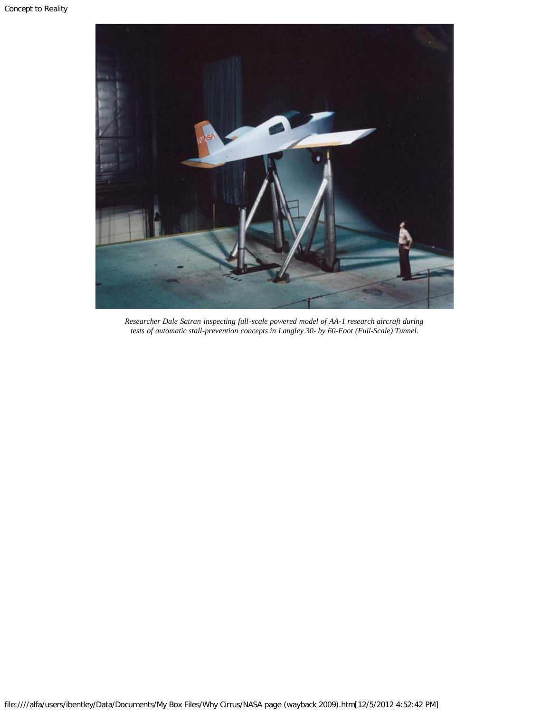

*Researcher Dale Satran inspecting full-scale powered model of AA-1 research aircraft during tests of automatic stall-prevention concepts in Langley 30- by 60-Foot (Full-Scale) Tunnel.*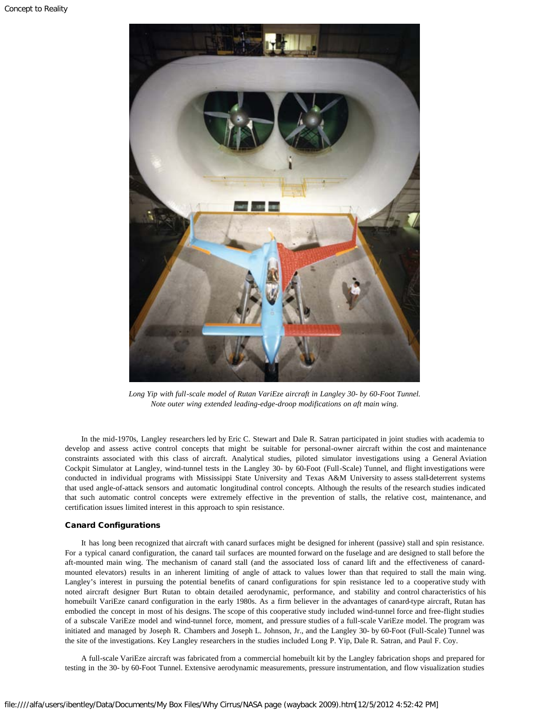

*Long Yip with full-scale model of Rutan VariEze aircraft in Langley 30- by 60-Foot Tunnel. Note outer wing extended leading-edge-droop modifications on aft main wing.*

In the mid-1970s, Langley researchers led by Eric C. Stewart and Dale R. Satran participated in joint studies with academia to develop and assess active control concepts that might be suitable for personal-owner aircraft within the cost and maintenance constraints associated with this class of aircraft. Analytical studies, piloted simulator investigations using a General Aviation Cockpit Simulator at Langley, wind-tunnel tests in the Langley 30- by 60-Foot (Full-Scale) Tunnel, and flight investigations were conducted in individual programs with Mississippi State University and Texas A&M University to assess stall-deterrent systems that used angle-of-attack sensors and automatic longitudinal control concepts. Although the results of the research studies indicated that such automatic control concepts were extremely effective in the prevention of stalls, the relative cost, maintenance, and certification issues limited interest in this approach to spin resistance.

#### Canard Configurations

Concept to Reality

It has long been recognized that aircraft with canard surfaces might be designed for inherent (passive) stall and spin resistance. For a typical canard configuration, the canard tail surfaces are mounted forward on the fuselage and are designed to stall before the aft-mounted main wing. The mechanism of canard stall (and the associated loss of canard lift and the effectiveness of canardmounted elevators) results in an inherent limiting of angle of attack to values lower than that required to stall the main wing. Langley's interest in pursuing the potential benefits of canard configurations for spin resistance led to a cooperative study with noted aircraft designer Burt Rutan to obtain detailed aerodynamic, performance, and stability and control characteristics of his homebuilt VariEze canard configuration in the early 1980s. As a firm believer in the advantages of canard-type aircraft, Rutan has embodied the concept in most of his designs. The scope of this cooperative study included wind-tunnel force and free-flight studies of a subscale VariEze model and wind-tunnel force, moment, and pressure studies of a full-scale VariEze model. The program was initiated and managed by Joseph R. Chambers and Joseph L. Johnson, Jr., and the Langley 30- by 60-Foot (Full-Scale) Tunnel was the site of the investigations. Key Langley researchers in the studies included Long P. Yip, Dale R. Satran, and Paul F. Coy.

A full-scale VariEze aircraft was fabricated from a commercial homebuilt kit by the Langley fabrication shops and prepared for testing in the 30- by 60-Foot Tunnel. Extensive aerodynamic measurements, pressure instrumentation, and flow visualization studies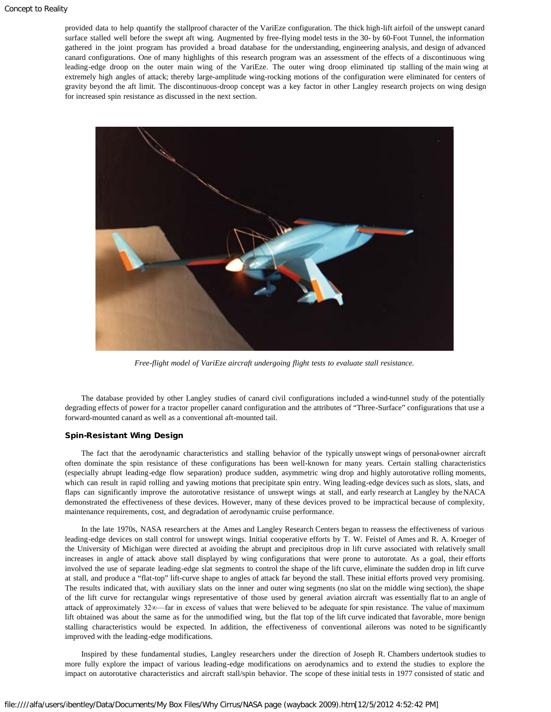provided data to help quantify the stallproof character of the VariEze configuration. The thick high-lift airfoil of the unswept canard surface stalled well before the swept aft wing. Augmented by free-flying model tests in the 30- by 60-Foot Tunnel, the information gathered in the joint program has provided a broad database for the understanding, engineering analysis, and design of advanced canard configurations. One of many highlights of this research program was an assessment of the effects of a discontinuous wing leading-edge droop on the outer main wing of the VariEze. The outer wing droop eliminated tip stalling of the main wing at extremely high angles of attack; thereby large-amplitude wing-rocking motions of the configuration were eliminated for centers of gravity beyond the aft limit. The discontinuous-droop concept was a key factor in other Langley research projects on wing design for increased spin resistance as discussed in the next section.



*Free-flight model of VariEze aircraft undergoing flight tests to evaluate stall resistance.*

The database provided by other Langley studies of canard civil configurations included a wind-tunnel study of the potentially degrading effects of power for a tractor propeller canard configuration and the attributes of "Three-Surface" configurations that use a forward-mounted canard as well as a conventional aft-mounted tail.

#### Spin-Resistant Wing Design

Concept to Reality

The fact that the aerodynamic characteristics and stalling behavior of the typically unswept wings of personal-owner aircraft often dominate the spin resistance of these configurations has been well-known for many years. Certain stalling characteristics (especially abrupt leading-edge flow separation) produce sudden, asymmetric wing drop and highly autorotative rolling moments, which can result in rapid rolling and yawing motions that precipitate spin entry. Wing leading-edge devices such as slots, slats, and flaps can significantly improve the autorotative resistance of unswept wings at stall, and early research at Langley by the NACA demonstrated the effectiveness of these devices. However, many of these devices proved to be impractical because of complexity, maintenance requirements, cost, and degradation of aerodynamic cruise performance.

In the late 1970s, NASA researchers at the Ames and Langley Research Centers began to reassess the effectiveness of various leading-edge devices on stall control for unswept wings. Initial cooperative efforts by T. W. Feistel of Ames and R. A. Kroeger of the University of Michigan were directed at avoiding the abrupt and precipitous drop in lift curve associated with relatively small increases in angle of attack above stall displayed by wing configurations that were prone to autorotate. As a goal, their efforts involved the use of separate leading-edge slat segments to control the shape of the lift curve, eliminate the sudden drop in lift curve at stall, and produce a "flat-top" lift-curve shape to angles of attack far beyond the stall. These initial efforts proved very promising. The results indicated that, with auxiliary slats on the inner and outer wing segments (no slat on the middle wing section), the shape of the lift curve for rectangular wings representative of those used by general aviation aircraft was essentially flat to an angle of attack of approximately 32∞—far in excess of values that were believed to be adequate for spin resistance. The value of maximum lift obtained was about the same as for the unmodified wing, but the flat top of the lift curve indicated that favorable, more benign stalling characteristics would be expected. In addition, the effectiveness of conventional ailerons was noted to be significantly improved with the leading-edge modifications.

Inspired by these fundamental studies, Langley researchers under the direction of Joseph R. Chambers undertook studies to more fully explore the impact of various leading-edge modifications on aerodynamics and to extend the studies to explore the impact on autorotative characteristics and aircraft stall/spin behavior. The scope of these initial tests in 1977 consisted of static and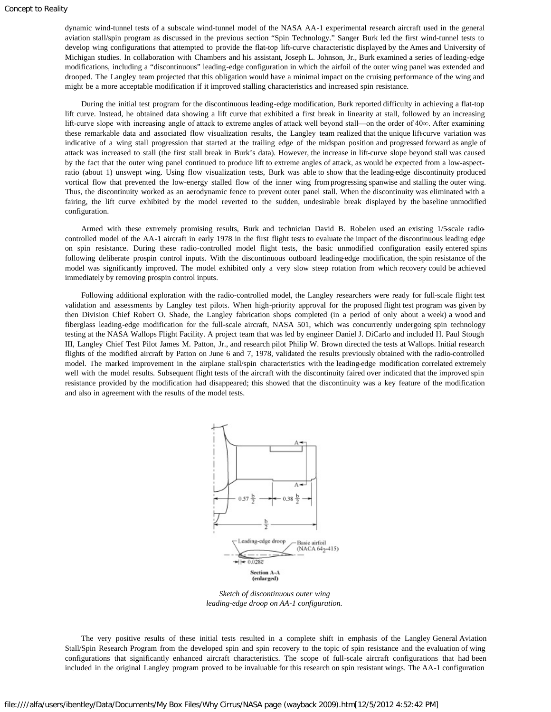dynamic wind-tunnel tests of a subscale wind-tunnel model of the NASA AA-1 experimental research aircraft used in the general aviation stall/spin program as discussed in the previous section "Spin Technology." Sanger Burk led the first wind-tunnel tests to develop wing configurations that attempted to provide the flat-top lift-curve characteristic displayed by the Ames and University of Michigan studies. In collaboration with Chambers and his assistant, Joseph L. Johnson, Jr., Burk examined a series of leading-edge modifications, including a "discontinuous" leading-edge configuration in which the airfoil of the outer wing panel was extended and drooped. The Langley team projected that this obligation would have a minimal impact on the cruising performance of the wing and might be a more acceptable modification if it improved stalling characteristics and increased spin resistance.

Concept to Reality

During the initial test program for the discontinuous leading-edge modification, Burk reported difficulty in achieving a flat-top lift curve. Instead, he obtained data showing a lift curve that exhibited a first break in linearity at stall, followed by an increasing lift-curve slope with increasing angle of attack to extreme angles of attack well beyond stall—on the order of 40∞. After examining these remarkable data and associated flow visualization results, the Langley team realized that the unique lift-curve variation was indicative of a wing stall progression that started at the trailing edge of the midspan position and progressed forward as angle of attack was increased to stall (the first stall break in Burk's data). However, the increase in lift-curve slope beyond stall was caused by the fact that the outer wing panel continued to produce lift to extreme angles of attack, as would be expected from a low-aspectratio (about 1) unswept wing. Using flow visualization tests, Burk was able to show that the leading-edge discontinuity produced vortical flow that prevented the low-energy stalled flow of the inner wing from progressing spanwise and stalling the outer wing. Thus, the discontinuity worked as an aerodynamic fence to prevent outer panel stall. When the discontinuity was eliminated with a fairing, the lift curve exhibited by the model reverted to the sudden, undesirable break displayed by the baseline unmodified configuration.

Armed with these extremely promising results, Burk and technician David B. Robelen used an existing 1/5-scale radiocontrolled model of the AA-1 aircraft in early 1978 in the first flight tests to evaluate the impact of the discontinuous leading edge on spin resistance. During these radio-controlled model flight tests, the basic unmodified configuration easily entered spins following deliberate prospin control inputs. With the discontinuous outboard leading-edge modification, the spin resistance of the model was significantly improved. The model exhibited only a very slow steep rotation from which recovery could be achieved immediately by removing prospin control inputs.

Following additional exploration with the radio-controlled model, the Langley researchers were ready for full-scale flight test validation and assessments by Langley test pilots. When high-priority approval for the proposed flight test program was given by then Division Chief Robert O. Shade, the Langley fabrication shops completed (in a period of only about a week) a wood and fiberglass leading-edge modification for the full-scale aircraft, NASA 501, which was concurrently undergoing spin technology testing at the NASA Wallops Flight Facility. A project team that was led by engineer Daniel J. DiCarlo and included H. Paul Stough III, Langley Chief Test Pilot James M. Patton, Jr., and research pilot Philip W. Brown directed the tests at Wallops. Initial research flights of the modified aircraft by Patton on June 6 and 7, 1978, validated the results previously obtained with the radio-controlled model. The marked improvement in the airplane stall/spin characteristics with the leading-edge modification correlated extremely well with the model results. Subsequent flight tests of the aircraft with the discontinuity faired over indicated that the improved spin resistance provided by the modification had disappeared; this showed that the discontinuity was a key feature of the modification and also in agreement with the results of the model tests.



*Sketch of discontinuous outer wing leading-edge droop on AA-1 configuration.*

The very positive results of these initial tests resulted in a complete shift in emphasis of the Langley General Aviation Stall/Spin Research Program from the developed spin and spin recovery to the topic of spin resistance and the evaluation of wing configurations that significantly enhanced aircraft characteristics. The scope of full-scale aircraft configurations that had been included in the original Langley program proved to be invaluable for this research on spin resistant wings. The AA-1 configuration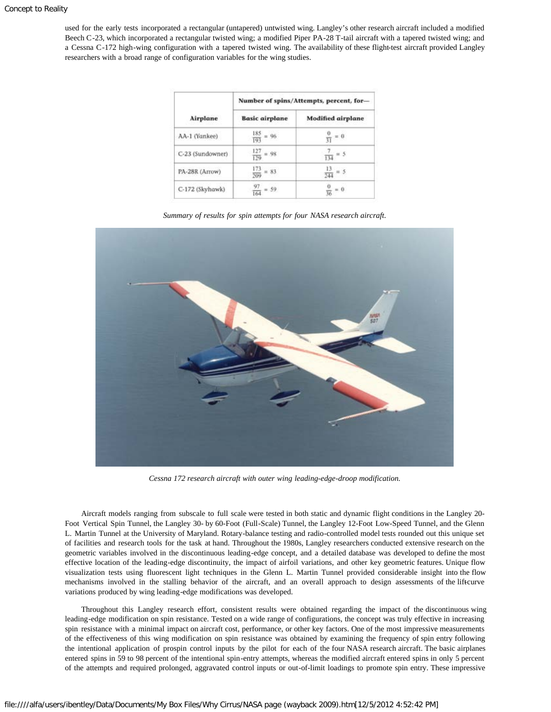used for the early tests incorporated a rectangular (untapered) untwisted wing. Langley's other research aircraft included a modified Beech C-23, which incorporated a rectangular twisted wing; a modified Piper PA-28 T-tail aircraft with a tapered twisted wing; and a Cessna C-172 high-wing configuration with a tapered twisted wing. The availability of these flight-test aircraft provided Langley researchers with a broad range of configuration variables for the wing studies.

| Airplane         | Number of spins/Attempts, percent, for- |                                |
|------------------|-----------------------------------------|--------------------------------|
|                  | <b>Basic airplane</b>                   | <b>Modified airplane</b>       |
| AA-1 (Yankee)    | $\frac{185}{193} = 96$                  | $\frac{0}{51} = 0$             |
| C-23 (Sundowner) | $= .98$<br>120                          | $= 5$<br>134                   |
| PA-28R (Arrow)   | $= 83$<br>209                           | $\frac{13}{244}$<br>$= 5$      |
| C-172 (Skyhawk)  | 97<br>164<br>.59                        | $= 0$<br>$\overline{\chi_{K}}$ |

*Summary of results for spin attempts for four NASA research aircraft.*



*Cessna 172 research aircraft with outer wing leading-edge-droop modification.*

Aircraft models ranging from subscale to full scale were tested in both static and dynamic flight conditions in the Langley 20- Foot Vertical Spin Tunnel, the Langley 30- by 60-Foot (Full-Scale) Tunnel, the Langley 12-Foot Low-Speed Tunnel, and the Glenn L. Martin Tunnel at the University of Maryland. Rotary-balance testing and radio-controlled model tests rounded out this unique set of facilities and research tools for the task at hand. Throughout the 1980s, Langley researchers conducted extensive research on the geometric variables involved in the discontinuous leading-edge concept, and a detailed database was developed to define the most effective location of the leading-edge discontinuity, the impact of airfoil variations, and other key geometric features. Unique flow visualization tests using fluorescent light techniques in the Glenn L. Martin Tunnel provided considerable insight into the flow mechanisms involved in the stalling behavior of the aircraft, and an overall approach to design assessments of the liftcurve variations produced by wing leading-edge modifications was developed.

Throughout this Langley research effort, consistent results were obtained regarding the impact of the discontinuous wing leading-edge modification on spin resistance. Tested on a wide range of configurations, the concept was truly effective in increasing spin resistance with a minimal impact on aircraft cost, performance, or other key factors. One of the most impressive measurements of the effectiveness of this wing modification on spin resistance was obtained by examining the frequency of spin entry following the intentional application of prospin control inputs by the pilot for each of the four NASA research aircraft. The basic airplanes entered spins in 59 to 98 percent of the intentional spin-entry attempts, whereas the modified aircraft entered spins in only 5 percent of the attempts and required prolonged, aggravated control inputs or out-of-limit loadings to promote spin entry. These impressive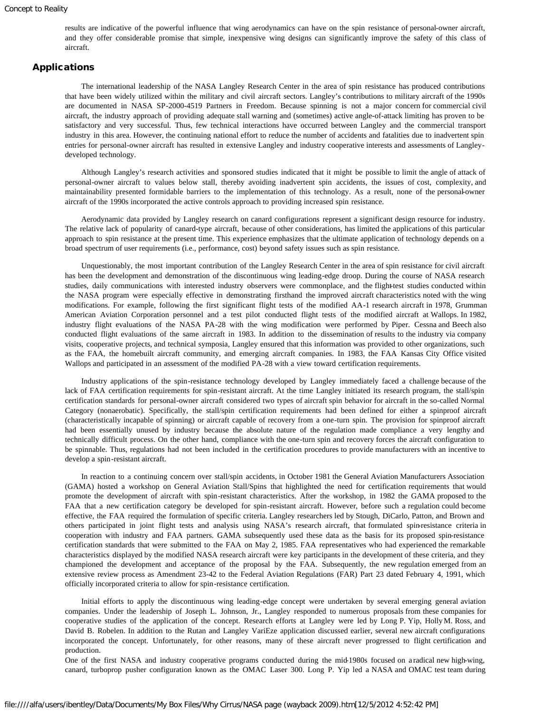results are indicative of the powerful influence that wing aerodynamics can have on the spin resistance of personal-owner aircraft, and they offer considerable promise that simple, inexpensive wing designs can significantly improve the safety of this class of aircraft.

# Applications

Concept to Reality

The international leadership of the NASA Langley Research Center in the area of spin resistance has produced contributions that have been widely utilized within the military and civil aircraft sectors. Langley's contributions to military aircraft of the 1990s are documented in NASA SP-2000-4519 Partners in Freedom. Because spinning is not a major concern for commercial civil aircraft, the industry approach of providing adequate stall warning and (sometimes) active angle-of-attack limiting has proven to be satisfactory and very successful. Thus, few technical interactions have occurred between Langley and the commercial transport industry in this area. However, the continuing national effort to reduce the number of accidents and fatalities due to inadvertent spin entries for personal-owner aircraft has resulted in extensive Langley and industry cooperative interests and assessments of Langleydeveloped technology.

Although Langley's research activities and sponsored studies indicated that it might be possible to limit the angle of attack of personal-owner aircraft to values below stall, thereby avoiding inadvertent spin accidents, the issues of cost, complexity, and maintainability presented formidable barriers to the implementation of this technology. As a result, none of the personal-owner aircraft of the 1990s incorporated the active controls approach to providing increased spin resistance.

Aerodynamic data provided by Langley research on canard configurations represent a significant design resource for industry. The relative lack of popularity of canard-type aircraft, because of other considerations, has limited the applications of this particular approach to spin resistance at the present time. This experience emphasizes that the ultimate application of technology depends on a broad spectrum of user requirements (i.e., performance, cost) beyond safety issues such as spin resistance.

Unquestionably, the most important contribution of the Langley Research Center in the area of spin resistance for civil aircraft has been the development and demonstration of the discontinuous wing leading-edge droop. During the course of NASA research studies, daily communications with interested industry observers were commonplace, and the flight-test studies conducted within the NASA program were especially effective in demonstrating firsthand the improved aircraft characteristics noted with the wing modifications. For example, following the first significant flight tests of the modified AA-1 research aircraft in 1978, Grumman American Aviation Corporation personnel and a test pilot conducted flight tests of the modified aircraft at Wallops. In 1982, industry flight evaluations of the NASA PA-28 with the wing modification were performed by Piper. Cessna and Beech also conducted flight evaluations of the same aircraft in 1983. In addition to the dissemination of results to the industry via company visits, cooperative projects, and technical symposia, Langley ensured that this information was provided to other organizations, such as the FAA, the homebuilt aircraft community, and emerging aircraft companies. In 1983, the FAA Kansas City Office visited Wallops and participated in an assessment of the modified PA-28 with a view toward certification requirements.

Industry applications of the spin-resistance technology developed by Langley immediately faced a challenge because of the lack of FAA certification requirements for spin-resistant aircraft. At the time Langley initiated its research program, the stall/spin certification standards for personal-owner aircraft considered two types of aircraft spin behavior for aircraft in the so-called Normal Category (nonaerobatic). Specifically, the stall/spin certification requirements had been defined for either a spinproof aircraft (characteristically incapable of spinning) or aircraft capable of recovery from a one-turn spin. The provision for spinproof aircraft had been essentially unused by industry because the absolute nature of the regulation made compliance a very lengthy and technically difficult process. On the other hand, compliance with the one-turn spin and recovery forces the aircraft configuration to be spinnable. Thus, regulations had not been included in the certification procedures to provide manufacturers with an incentive to develop a spin-resistant aircraft.

In reaction to a continuing concern over stall/spin accidents, in October 1981 the General Aviation Manufacturers Association (GAMA) hosted a workshop on General Aviation Stall/Spins that highlighted the need for certification requirements that would promote the development of aircraft with spin-resistant characteristics. After the workshop, in 1982 the GAMA proposed to the FAA that a new certification category be developed for spin-resistant aircraft. However, before such a regulation could become effective, the FAA required the formulation of specific criteria. Langley researchers led by Stough, DiCarlo, Patton, and Brown and others participated in joint flight tests and analysis using NASA's research aircraft, that formulated spin-resistance criteria in cooperation with industry and FAA partners. GAMA subsequently used these data as the basis for its proposed spin-resistance certification standards that were submitted to the FAA on May 2, 1985. FAA representatives who had experienced the remarkable characteristics displayed by the modified NASA research aircraft were key participants in the development of these criteria, and they championed the development and acceptance of the proposal by the FAA. Subsequently, the new regulation emerged from an extensive review process as Amendment 23-42 to the Federal Aviation Regulations (FAR) Part 23 dated February 4, 1991, which officially incorporated criteria to allow for spin-resistance certification.

Initial efforts to apply the discontinuous wing leading-edge concept were undertaken by several emerging general aviation companies. Under the leadership of Joseph L. Johnson, Jr., Langley responded to numerous proposals from these companies for cooperative studies of the application of the concept. Research efforts at Langley were led by Long P. Yip, Holly M. Ross, and David B. Robelen. In addition to the Rutan and Langley VariEze application discussed earlier, several new aircraft configurations incorporated the concept. Unfortunately, for other reasons, many of these aircraft never progressed to flight certification and production.

One of the first NASA and industry cooperative programs conducted during the mid-1980s focused on a radical new high-wing, canard, turboprop pusher configuration known as the OMAC Laser 300. Long P. Yip led a NASA and OMAC test team during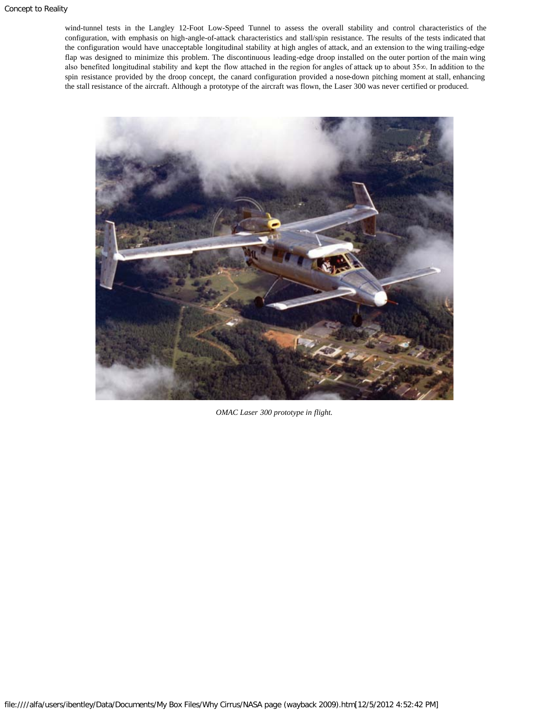wind-tunnel tests in the Langley 12-Foot Low-Speed Tunnel to assess the overall stability and control characteristics of the configuration, with emphasis on high-angle-of-attack characteristics and stall/spin resistance. The results of the tests indicated that the configuration would have unacceptable longitudinal stability at high angles of attack, and an extension to the wing trailing-edge flap was designed to minimize this problem. The discontinuous leading-edge droop installed on the outer portion of the main wing also benefited longitudinal stability and kept the flow attached in the region for angles of attack up to about 35∞. In addition to the spin resistance provided by the droop concept, the canard configuration provided a nose-down pitching moment at stall, enhancing the stall resistance of the aircraft. Although a prototype of the aircraft was flown, the Laser 300 was never certified or produced.

Concept to Reality



*OMAC Laser 300 prototype in flight.*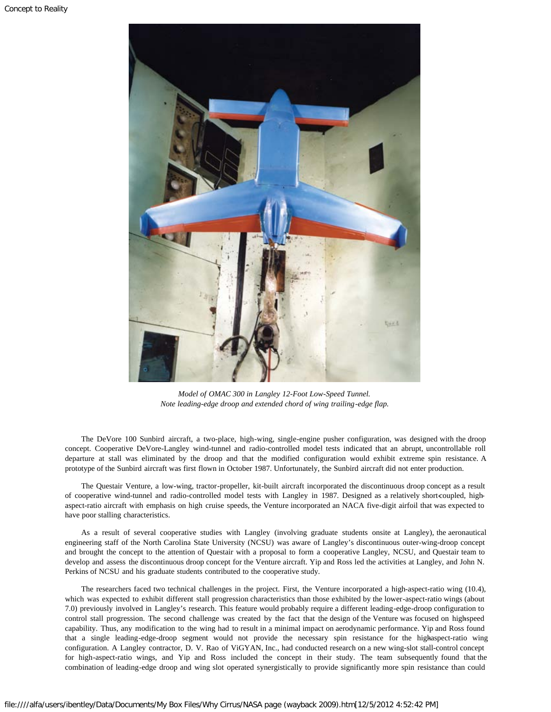

*Model of OMAC 300 in Langley 12-Foot Low-Speed Tunnel. Note leading-edge droop and extended chord of wing trailing-edge flap.*

The DeVore 100 Sunbird aircraft, a two-place, high-wing, single-engine pusher configuration, was designed with the droop concept. Cooperative DeVore-Langley wind-tunnel and radio-controlled model tests indicated that an abrupt, uncontrollable roll departure at stall was eliminated by the droop and that the modified configuration would exhibit extreme spin resistance. A prototype of the Sunbird aircraft was first flown in October 1987. Unfortunately, the Sunbird aircraft did not enter production.

The Questair Venture, a low-wing, tractor-propeller, kit-built aircraft incorporated the discontinuous droop concept as a result of cooperative wind-tunnel and radio-controlled model tests with Langley in 1987. Designed as a relatively short-coupled, highaspect-ratio aircraft with emphasis on high cruise speeds, the Venture incorporated an NACA five-digit airfoil that was expected to have poor stalling characteristics.

As a result of several cooperative studies with Langley (involving graduate students onsite at Langley), the aeronautical engineering staff of the North Carolina State University (NCSU) was aware of Langley's discontinuous outer-wing-droop concept and brought the concept to the attention of Questair with a proposal to form a cooperative Langley, NCSU, and Questair team to develop and assess the discontinuous droop concept for the Venture aircraft. Yip and Ross led the activities at Langley, and John N. Perkins of NCSU and his graduate students contributed to the cooperative study.

The researchers faced two technical challenges in the project. First, the Venture incorporated a high-aspect-ratio wing (10.4), which was expected to exhibit different stall progression characteristics than those exhibited by the lower-aspect-ratio wings (about 7.0) previously involved in Langley's research. This feature would probably require a different leading-edge-droop configuration to control stall progression. The second challenge was created by the fact that the design of the Venture was focused on high-speed capability. Thus, any modification to the wing had to result in a minimal impact on aerodynamic performance. Yip and Ross found that a single leading-edge-droop segment would not provide the necessary spin resistance for the highaspect-ratio wing configuration. A Langley contractor, D. V. Rao of ViGYAN, Inc., had conducted research on a new wing-slot stall-control concept for high-aspect-ratio wings, and Yip and Ross included the concept in their study. The team subsequently found that the combination of leading-edge droop and wing slot operated synergistically to provide significantly more spin resistance than could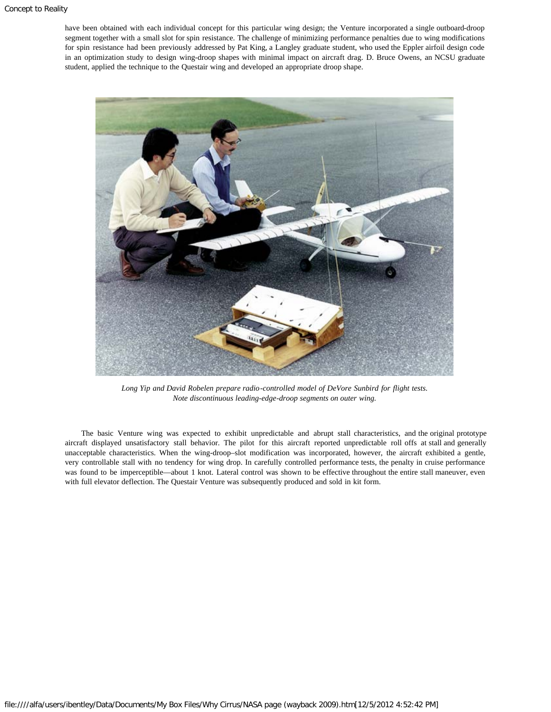have been obtained with each individual concept for this particular wing design; the Venture incorporated a single outboard-droop segment together with a small slot for spin resistance. The challenge of minimizing performance penalties due to wing modifications for spin resistance had been previously addressed by Pat King, a Langley graduate student, who used the Eppler airfoil design code in an optimization study to design wing-droop shapes with minimal impact on aircraft drag. D. Bruce Owens, an NCSU graduate student, applied the technique to the Questair wing and developed an appropriate droop shape.

Concept to Reality



*Long Yip and David Robelen prepare radio-controlled model of DeVore Sunbird for flight tests. Note discontinuous leading-edge-droop segments on outer wing.*

The basic Venture wing was expected to exhibit unpredictable and abrupt stall characteristics, and the original prototype aircraft displayed unsatisfactory stall behavior. The pilot for this aircraft reported unpredictable roll offs at stall and generally unacceptable characteristics. When the wing-droop–slot modification was incorporated, however, the aircraft exhibited a gentle, very controllable stall with no tendency for wing drop. In carefully controlled performance tests, the penalty in cruise performance was found to be imperceptible—about 1 knot. Lateral control was shown to be effective throughout the entire stall maneuver, even with full elevator deflection. The Questair Venture was subsequently produced and sold in kit form.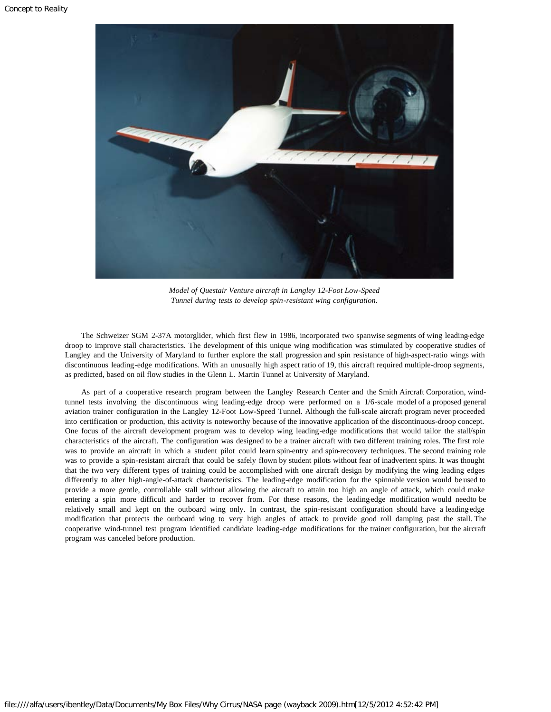

*Model of Questair Venture aircraft in Langley 12-Foot Low-Speed Tunnel during tests to develop spin-resistant wing configuration.*

The Schweizer SGM 2-37A motorglider, which first flew in 1986, incorporated two spanwise segments of wing leading-edge droop to improve stall characteristics. The development of this unique wing modification was stimulated by cooperative studies of Langley and the University of Maryland to further explore the stall progression and spin resistance of high-aspect-ratio wings with discontinuous leading-edge modifications. With an unusually high aspect ratio of 19, this aircraft required multiple-droop segments, as predicted, based on oil flow studies in the Glenn L. Martin Tunnel at University of Maryland.

As part of a cooperative research program between the Langley Research Center and the Smith Aircraft Corporation, windtunnel tests involving the discontinuous wing leading-edge droop were performed on a 1/6-scale model of a proposed general aviation trainer configuration in the Langley 12-Foot Low-Speed Tunnel. Although the full-scale aircraft program never proceeded into certification or production, this activity is noteworthy because of the innovative application of the discontinuous-droop concept. One focus of the aircraft development program was to develop wing leading-edge modifications that would tailor the stall/spin characteristics of the aircraft. The configuration was designed to be a trainer aircraft with two different training roles. The first role was to provide an aircraft in which a student pilot could learn spin-entry and spin-recovery techniques. The second training role was to provide a spin-resistant aircraft that could be safely flown by student pilots without fear of inadvertent spins. It was thought that the two very different types of training could be accomplished with one aircraft design by modifying the wing leading edges differently to alter high-angle-of-attack characteristics. The leading-edge modification for the spinnable version would be used to provide a more gentle, controllable stall without allowing the aircraft to attain too high an angle of attack, which could make entering a spin more difficult and harder to recover from. For these reasons, the leading-edge modification would needto be relatively small and kept on the outboard wing only. In contrast, the spin-resistant configuration should have a leading-edge modification that protects the outboard wing to very high angles of attack to provide good roll damping past the stall. The cooperative wind-tunnel test program identified candidate leading-edge modifications for the trainer configuration, but the aircraft program was canceled before production.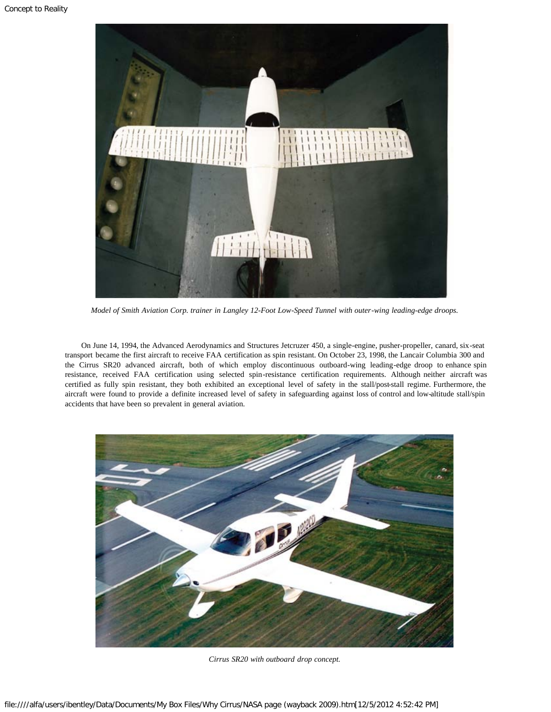

*Model of Smith Aviation Corp. trainer in Langley 12-Foot Low-Speed Tunnel with outer-wing leading-edge droops.*

On June 14, 1994, the Advanced Aerodynamics and Structures Jetcruzer 450, a single-engine, pusher-propeller, canard, six-seat transport became the first aircraft to receive FAA certification as spin resistant. On October 23, 1998, the Lancair Columbia 300 and the Cirrus SR20 advanced aircraft, both of which employ discontinuous outboard-wing leading-edge droop to enhance spin resistance, received FAA certification using selected spin-resistance certification requirements. Although neither aircraft was certified as fully spin resistant, they both exhibited an exceptional level of safety in the stall/post-stall regime. Furthermore, the aircraft were found to provide a definite increased level of safety in safeguarding against loss of control and low-altitude stall/spin accidents that have been so prevalent in general aviation.



*Cirrus SR20 with outboard drop concept.*